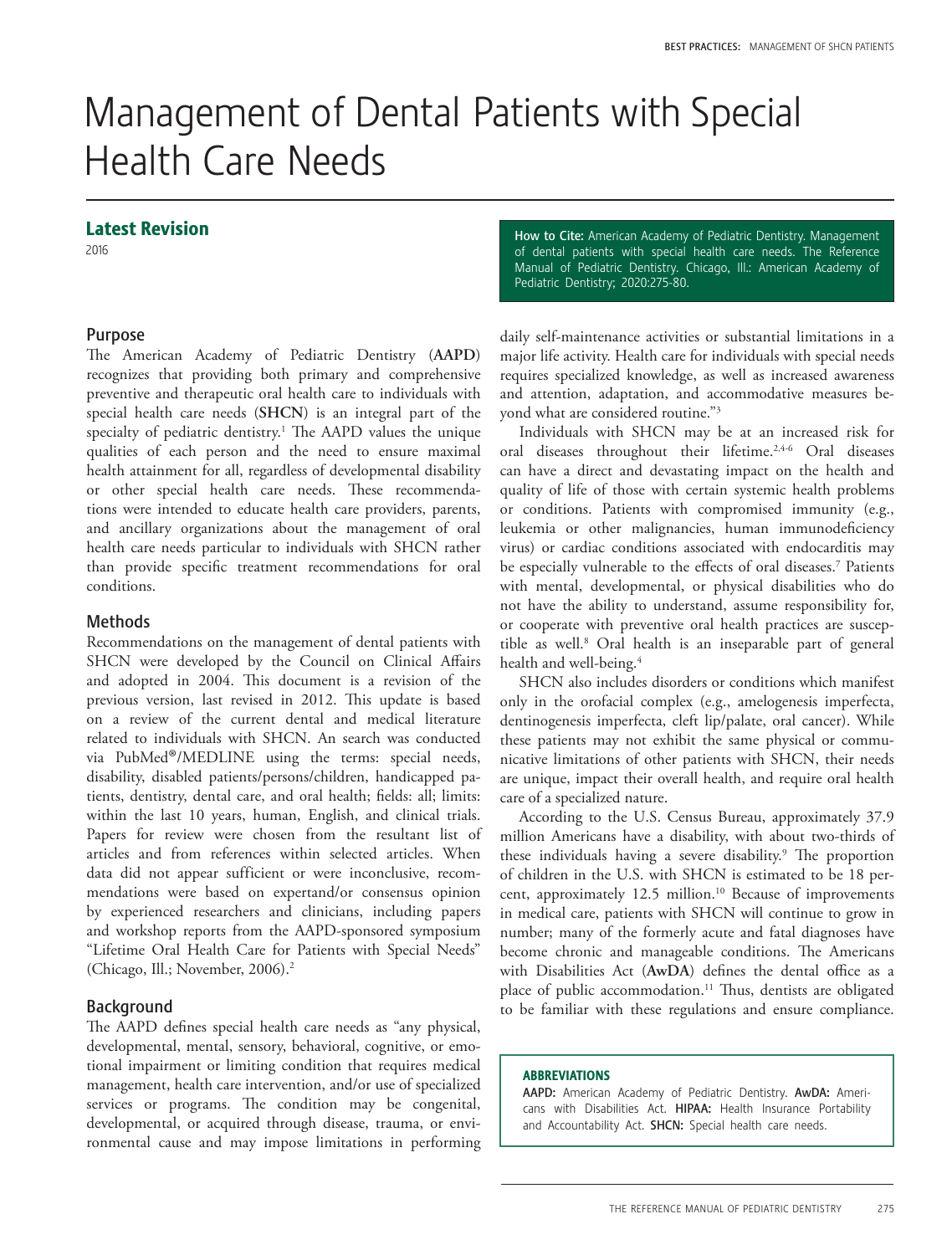# Management of Dental Patients with Special Health Care Needs

# Latest Revision

2016

# Purpose

The American Academy of Pediatric Dentistry (**AAPD**) recognizes that providing both primary and comprehensive preventive and therapeutic oral health care to individuals with special health care needs (**SHCN**) is an integral part of the specialty of pediatric dentistry.<sup>1</sup> The AAPD values the unique qualities of each person and the need to ensure maximal health attainment for all, regardless of developmental disability or other special health care needs. These recommendations were intended to educate health care providers, parents, and ancillary organizations about the management of oral health care needs particular to individuals with SHCN rather than provide specific treatment recommendations for oral conditions.

# **Methods**

Recommendations on the management of dental patients with SHCN were developed by the Council on Clinical Affairs and adopted in 2004. This document is a revision of the previous version, last revised in 2012. This update is based on a review of the current dental and medical literature related to individuals with SHCN. An search was conducted via PubMed®/MEDLINE using the terms: special needs, disability, disabled patients/persons/children, handicapped patients, dentistry, dental care, and oral health; fields: all; limits: within the last 10 years, human, English, and clinical trials. Papers for review were chosen from the resultant list of articles and from references within selected articles. When data did not appear sufficient or were inconclusive, recommendations were based on expertand/or consensus opinion by experienced researchers and clinicians, including papers and workshop reports from the AAPD-sponsored symposium "Lifetime Oral Health Care for Patients with Special Needs" (Chicago, Ill.; November, 2006).2

# Background

The AAPD defines special health care needs as "any physical, developmental, mental, sensory, behavioral, cognitive, or emotional impairment or limiting condition that requires medical management, health care intervention, and/or use of specialized services or programs. The condition may be congenital, developmental, or acquired through disease, trauma, or environmental cause and may impose limitations in performing How to Cite: American Academy of Pediatric Dentistry. Management of dental patients with special health care needs. The Reference Manual of Pediatric Dentistry. Chicago, Ill.: American Academy of Pediatric Dentistry; 2020:275-80.

daily self-maintenance activities or substantial limitations in a major life activity. Health care for individuals with special needs requires specialized knowledge, as well as increased awareness and attention, adaptation, and accommodative measures beyond what are considered routine."3

Individuals with SHCN may be at an increased risk for oral diseases throughout their lifetime.<sup>2,4-6</sup> Oral diseases can have a direct and devastating impact on the health and quality of life of those with certain systemic health problems or conditions. Patients with compromised immunity (e.g., leukemia or other malignancies, human immunodeficiency virus) or cardiac conditions associated with endocarditis may be especially vulnerable to the effects of oral diseases.<sup>7</sup> Patients with mental, developmental, or physical disabilities who do not have the ability to understand, assume responsibility for, or cooperate with preventive oral health practices are susceptible as well.<sup>8</sup> Oral health is an inseparable part of general health and well-being.<sup>4</sup>

SHCN also includes disorders or conditions which manifest only in the orofacial complex (e.g., amelogenesis imperfecta, dentinogenesis imperfecta, cleft lip/palate, oral cancer). While these patients may not exhibit the same physical or communicative limitations of other patients with SHCN, their needs are unique, impact their overall health, and require oral health care of a specialized nature.

According to the U.S. Census Bureau, approximately 37.9 million Americans have a disability, with about two-thirds of these individuals having a severe disability.<sup>9</sup> The proportion of children in the U.S. with SHCN is estimated to be 18 percent, approximately 12.5 million.10 Because of improvements in medical care, patients with SHCN will continue to grow in number; many of the formerly acute and fatal diagnoses have become chronic and manageable conditions. The Americans with Disabilities Act (**AwDA**) defines the dental office as a place of public accommodation.<sup>11</sup> Thus, dentists are obligated to be familiar with these regulations and ensure compliance.

## ABBREVIATIONS

AAPD: American Academy of Pediatric Dentistry. AwDA: Americans with Disabilities Act. HIPAA: Health Insurance Portability and Accountability Act. SHCN: Special health care needs.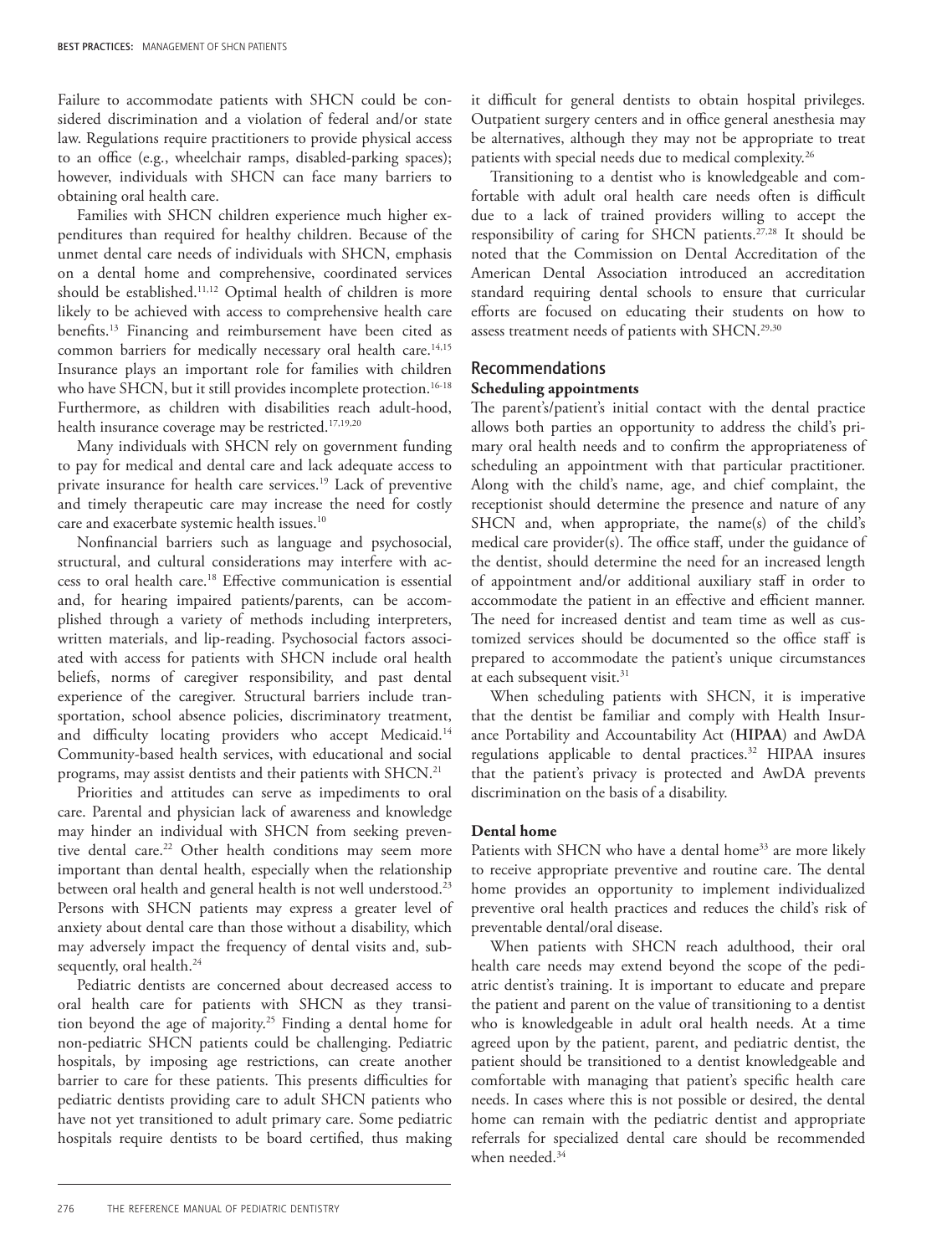Failure to accommodate patients with SHCN could be considered discrimination and a violation of federal and/or state law. Regulations require practitioners to provide physical access to an office (e.g., wheelchair ramps, disabled-parking spaces); however, individuals with SHCN can face many barriers to obtaining oral health care.

Families with SHCN children experience much higher expenditures than required for healthy children. Because of the unmet dental care needs of individuals with SHCN, emphasis on a dental home and comprehensive, coordinated services should be established.<sup>11,12</sup> Optimal health of children is more likely to be achieved with access to comprehensive health care benefits.13 Financing and reimbursement have been cited as common barriers for medically necessary oral health care.<sup>14,15</sup> Insurance plays an important role for families with children who have SHCN, but it still provides incomplete protection.<sup>16-18</sup> Furthermore, as children with disabilities reach adult-hood, health insurance coverage may be restricted.<sup>17,19,20</sup>

Many individuals with SHCN rely on government funding to pay for medical and dental care and lack adequate access to private insurance for health care services.19 Lack of preventive and timely therapeutic care may increase the need for costly care and exacerbate systemic health issues.10

Nonfinancial barriers such as language and psychosocial, structural, and cultural considerations may interfere with access to oral health care.18 Effective communication is essential and, for hearing impaired patients/parents, can be accomplished through a variety of methods including interpreters, written materials, and lip-reading. Psychosocial factors associated with access for patients with SHCN include oral health beliefs, norms of caregiver responsibility, and past dental experience of the caregiver. Structural barriers include transportation, school absence policies, discriminatory treatment, and difficulty locating providers who accept Medicaid.<sup>14</sup> Community-based health services, with educational and social programs, may assist dentists and their patients with SHCN.21

Priorities and attitudes can serve as impediments to oral care. Parental and physician lack of awareness and knowledge may hinder an individual with SHCN from seeking preventive dental care.<sup>22</sup> Other health conditions may seem more important than dental health, especially when the relationship between oral health and general health is not well understood.<sup>23</sup> Persons with SHCN patients may express a greater level of anxiety about dental care than those without a disability, which may adversely impact the frequency of dental visits and, subsequently, oral health.<sup>24</sup>

Pediatric dentists are concerned about decreased access to oral health care for patients with SHCN as they transition beyond the age of majority.25 Finding a dental home for non-pediatric SHCN patients could be challenging. Pediatric hospitals, by imposing age restrictions, can create another barrier to care for these patients. This presents difficulties for pediatric dentists providing care to adult SHCN patients who have not yet transitioned to adult primary care. Some pediatric hospitals require dentists to be board certified, thus making

it difficult for general dentists to obtain hospital privileges. Outpatient surgery centers and in office general anesthesia may be alternatives, although they may not be appropriate to treat patients with special needs due to medical complexity.26

Transitioning to a dentist who is knowledgeable and comfortable with adult oral health care needs often is difficult due to a lack of trained providers willing to accept the responsibility of caring for  $\text{SHCN}$  patients.<sup>27,28</sup> It should be noted that the Commission on Dental Accreditation of the American Dental Association introduced an accreditation standard requiring dental schools to ensure that curricular efforts are focused on educating their students on how to assess treatment needs of patients with SHCN.<sup>29,30</sup>

# Recommendations

# **Scheduling appointments**

The parent's/patient's initial contact with the dental practice allows both parties an opportunity to address the child's primary oral health needs and to confirm the appropriateness of scheduling an appointment with that particular practitioner. Along with the child's name, age, and chief complaint, the receptionist should determine the presence and nature of any SHCN and, when appropriate, the name(s) of the child's medical care provider(s). The office staff, under the guidance of the dentist, should determine the need for an increased length of appointment and/or additional auxiliary staff in order to accommodate the patient in an effective and efficient manner. The need for increased dentist and team time as well as customized services should be documented so the office staff is prepared to accommodate the patient's unique circumstances at each subsequent visit.<sup>31</sup>

When scheduling patients with SHCN, it is imperative that the dentist be familiar and comply with Health Insurance Portability and Accountability Act (**HIPAA**) and AwDA regulations applicable to dental practices.32 HIPAA insures that the patient's privacy is protected and AwDA prevents discrimination on the basis of a disability.

## **Dental home**

Patients with SHCN who have a dental home<sup>33</sup> are more likely to receive appropriate preventive and routine care. The dental home provides an opportunity to implement individualized preventive oral health practices and reduces the child's risk of preventable dental/oral disease.

When patients with SHCN reach adulthood, their oral health care needs may extend beyond the scope of the pediatric dentist's training. It is important to educate and prepare the patient and parent on the value of transitioning to a dentist who is knowledgeable in adult oral health needs. At a time agreed upon by the patient, parent, and pediatric dentist, the patient should be transitioned to a dentist knowledgeable and comfortable with managing that patient's specific health care needs. In cases where this is not possible or desired, the dental home can remain with the pediatric dentist and appropriate referrals for specialized dental care should be recommended when needed.<sup>34</sup>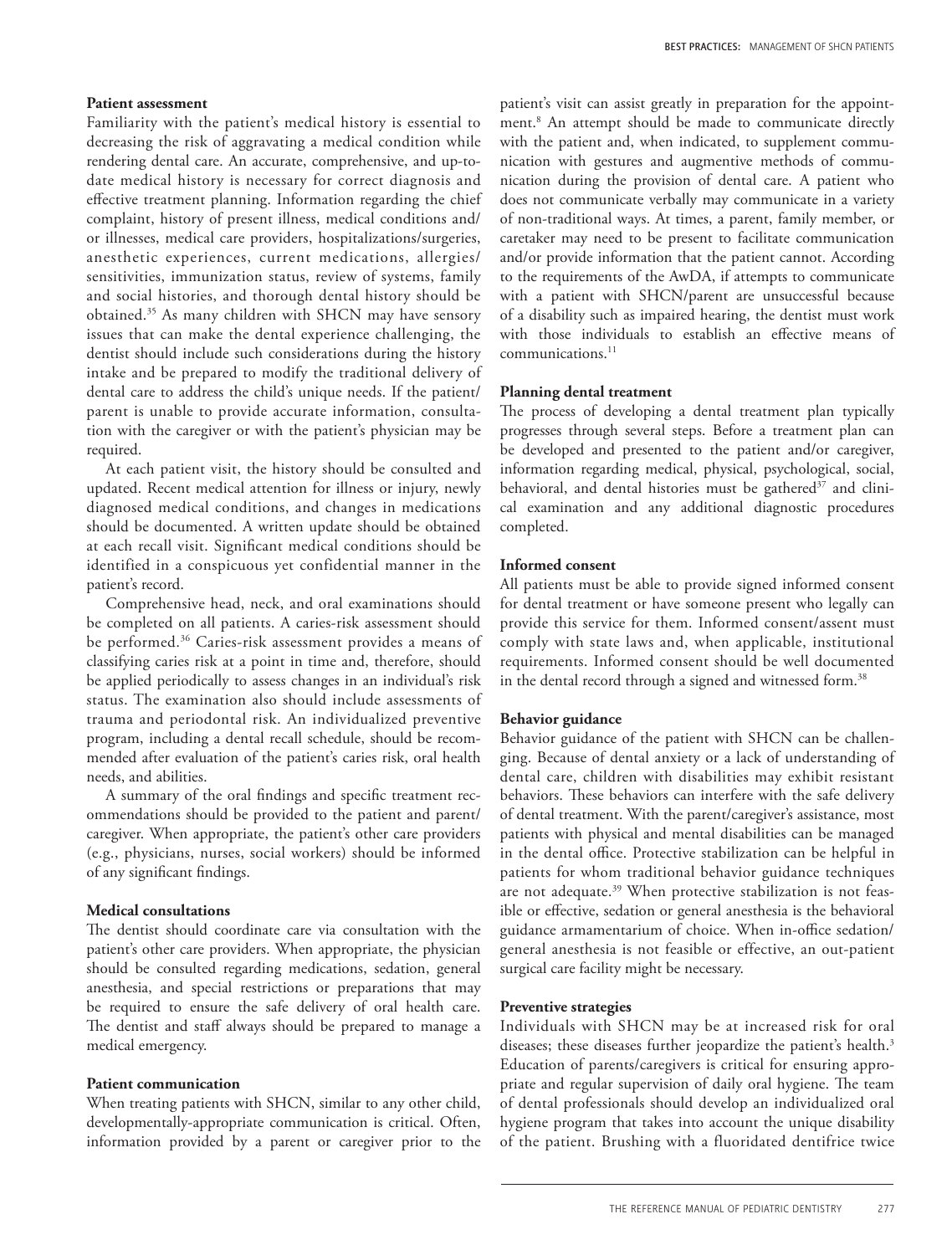## **Patient assessment**

Familiarity with the patient's medical history is essential to decreasing the risk of aggravating a medical condition while rendering dental care. An accurate, comprehensive, and up-todate medical history is necessary for correct diagnosis and effective treatment planning. Information regarding the chief complaint, history of present illness, medical conditions and/ or illnesses, medical care providers, hospitalizations/surgeries, anesthetic experiences, current medications, allergies/ sensitivities, immunization status, review of systems, family and social histories, and thorough dental history should be obtained.35 As many children with SHCN may have sensory issues that can make the dental experience challenging, the dentist should include such considerations during the history intake and be prepared to modify the traditional delivery of dental care to address the child's unique needs. If the patient/ parent is unable to provide accurate information, consultation with the caregiver or with the patient's physician may be required.

At each patient visit, the history should be consulted and updated. Recent medical attention for illness or injury, newly diagnosed medical conditions, and changes in medications should be documented. A written update should be obtained at each recall visit. Significant medical conditions should be identified in a conspicuous yet confidential manner in the patient's record.

Comprehensive head, neck, and oral examinations should be completed on all patients. A caries-risk assessment should be performed.36 Caries-risk assessment provides a means of classifying caries risk at a point in time and, therefore, should be applied periodically to assess changes in an individual's risk status. The examination also should include assessments of trauma and periodontal risk. An individualized preventive program, including a dental recall schedule, should be recommended after evaluation of the patient's caries risk, oral health needs, and abilities.

A summary of the oral findings and specific treatment recommendations should be provided to the patient and parent/ caregiver. When appropriate, the patient's other care providers (e.g., physicians, nurses, social workers) should be informed of any significant findings.

# **Medical consultations**

The dentist should coordinate care via consultation with the patient's other care providers. When appropriate, the physician should be consulted regarding medications, sedation, general anesthesia, and special restrictions or preparations that may be required to ensure the safe delivery of oral health care. The dentist and staff always should be prepared to manage a medical emergency.

## **Patient communication**

When treating patients with SHCN, similar to any other child, developmentally-appropriate communication is critical. Often, information provided by a parent or caregiver prior to the

patient's visit can assist greatly in preparation for the appointment.8 An attempt should be made to communicate directly with the patient and, when indicated, to supplement communication with gestures and augmentive methods of communication during the provision of dental care. A patient who does not communicate verbally may communicate in a variety of non-traditional ways. At times, a parent, family member, or caretaker may need to be present to facilitate communication and/or provide information that the patient cannot. According to the requirements of the AwDA, if attempts to communicate with a patient with SHCN/parent are unsuccessful because of a disability such as impaired hearing, the dentist must work with those individuals to establish an effective means of communications.<sup>11</sup>

## **Planning dental treatment**

The process of developing a dental treatment plan typically progresses through several steps. Before a treatment plan can be developed and presented to the patient and/or caregiver, information regarding medical, physical, psychological, social, behavioral, and dental histories must be gathered<sup>37</sup> and clinical examination and any additional diagnostic procedures completed.

## **Informed consent**

All patients must be able to provide signed informed consent for dental treatment or have someone present who legally can provide this service for them. Informed consent/assent must comply with state laws and, when applicable, institutional requirements. Informed consent should be well documented in the dental record through a signed and witnessed form.<sup>38</sup>

## **Behavior guidance**

Behavior guidance of the patient with SHCN can be challenging. Because of dental anxiety or a lack of understanding of dental care, children with disabilities may exhibit resistant behaviors. These behaviors can interfere with the safe delivery of dental treatment. With the parent/caregiver's assistance, most patients with physical and mental disabilities can be managed in the dental office. Protective stabilization can be helpful in patients for whom traditional behavior guidance techniques are not adequate.<sup>39</sup> When protective stabilization is not feasible or effective, sedation or general anesthesia is the behavioral guidance armamentarium of choice. When in-office sedation/ general anesthesia is not feasible or effective, an out-patient surgical care facility might be necessary.

#### **Preventive strategies**

Individuals with SHCN may be at increased risk for oral diseases; these diseases further jeopardize the patient's health.<sup>3</sup> Education of parents/caregivers is critical for ensuring appropriate and regular supervision of daily oral hygiene. The team of dental professionals should develop an individualized oral hygiene program that takes into account the unique disability of the patient. Brushing with a fluoridated dentifrice twice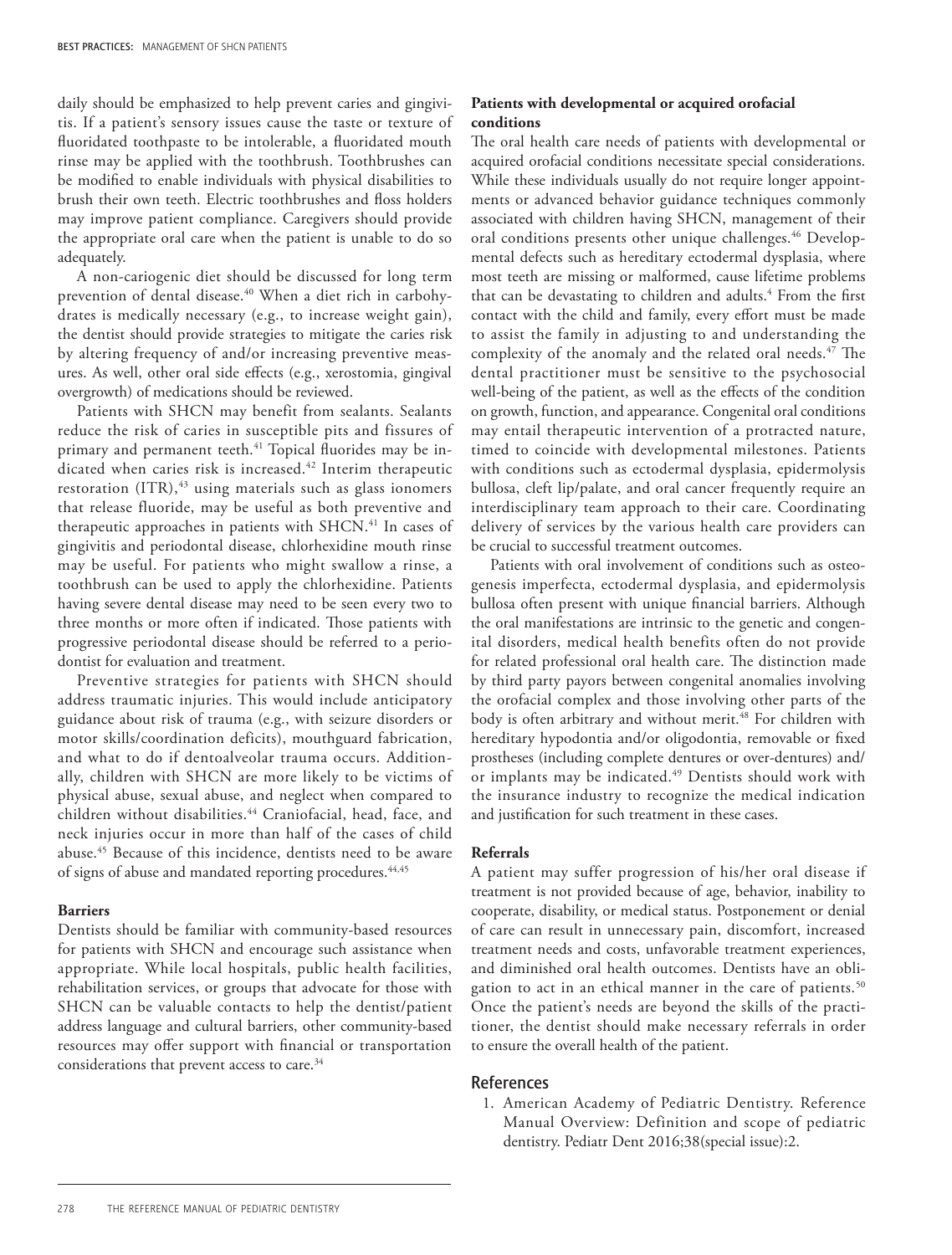daily should be emphasized to help prevent caries and gingivitis. If a patient's sensory issues cause the taste or texture of fluoridated toothpaste to be intolerable, a fluoridated mouth rinse may be applied with the toothbrush. Toothbrushes can be modified to enable individuals with physical disabilities to brush their own teeth. Electric toothbrushes and floss holders may improve patient compliance. Caregivers should provide the appropriate oral care when the patient is unable to do so adequately.

A non-cariogenic diet should be discussed for long term prevention of dental disease.<sup>40</sup> When a diet rich in carbohydrates is medically necessary (e.g., to increase weight gain), the dentist should provide strategies to mitigate the caries risk by altering frequency of and/or increasing preventive measures. As well, other oral side effects (e.g., xerostomia, gingival overgrowth) of medications should be reviewed.

Patients with SHCN may benefit from sealants. Sealants reduce the risk of caries in susceptible pits and fissures of primary and permanent teeth.<sup>41</sup> Topical fluorides may be indicated when caries risk is increased.<sup>42</sup> Interim therapeutic restoration  $(ITR)$ ,<sup>43</sup> using materials such as glass ionomers that release fluoride, may be useful as both preventive and therapeutic approaches in patients with SHCN.<sup>41</sup> In cases of gingivitis and periodontal disease, chlorhexidine mouth rinse may be useful. For patients who might swallow a rinse, a toothbrush can be used to apply the chlorhexidine. Patients having severe dental disease may need to be seen every two to three months or more often if indicated. Those patients with progressive periodontal disease should be referred to a periodontist for evaluation and treatment.

Preventive strategies for patients with SHCN should address traumatic injuries. This would include anticipatory guidance about risk of trauma (e.g., with seizure disorders or motor skills/coordination deficits), mouthguard fabrication, and what to do if dentoalveolar trauma occurs. Additionally, children with SHCN are more likely to be victims of physical abuse, sexual abuse, and neglect when compared to children without disabilities.<sup>44</sup> Craniofacial, head, face, and neck injuries occur in more than half of the cases of child abuse.45 Because of this incidence, dentists need to be aware of signs of abuse and mandated reporting procedures.<sup>44,45</sup>

## **Barriers**

Dentists should be familiar with community-based resources for patients with SHCN and encourage such assistance when appropriate. While local hospitals, public health facilities, rehabilitation services, or groups that advocate for those with SHCN can be valuable contacts to help the dentist/patient address language and cultural barriers, other community-based resources may offer support with financial or transportation considerations that prevent access to care.<sup>34</sup>

## **Patients with developmental or acquired orofacial conditions**

The oral health care needs of patients with developmental or acquired orofacial conditions necessitate special considerations. While these individuals usually do not require longer appointments or advanced behavior guidance techniques commonly associated with children having SHCN, management of their oral conditions presents other unique challenges.<sup>46</sup> Developmental defects such as hereditary ectodermal dysplasia, where most teeth are missing or malformed, cause lifetime problems that can be devastating to children and adults.<sup>4</sup> From the first contact with the child and family, every effort must be made to assist the family in adjusting to and understanding the complexity of the anomaly and the related oral needs.<sup>47</sup> The dental practitioner must be sensitive to the psychosocial well-being of the patient, as well as the effects of the condition on growth, function, and appearance. Congenital oral conditions may entail therapeutic intervention of a protracted nature, timed to coincide with developmental milestones. Patients with conditions such as ectodermal dysplasia, epidermolysis bullosa, cleft lip/palate, and oral cancer frequently require an interdisciplinary team approach to their care. Coordinating delivery of services by the various health care providers can be crucial to successful treatment outcomes.

Patients with oral involvement of conditions such as osteogenesis imperfecta, ectodermal dysplasia, and epidermolysis bullosa often present with unique financial barriers. Although the oral manifestations are intrinsic to the genetic and congenital disorders, medical health benefits often do not provide for related professional oral health care. The distinction made by third party payors between congenital anomalies involving the orofacial complex and those involving other parts of the body is often arbitrary and without merit.<sup>48</sup> For children with hereditary hypodontia and/or oligodontia, removable or fixed prostheses (including complete dentures or over-dentures) and/ or implants may be indicated.<sup>49</sup> Dentists should work with the insurance industry to recognize the medical indication and justification for such treatment in these cases.

## **Referrals**

A patient may suffer progression of his/her oral disease if treatment is not provided because of age, behavior, inability to cooperate, disability, or medical status. Postponement or denial of care can result in unnecessary pain, discomfort, increased treatment needs and costs, unfavorable treatment experiences, and diminished oral health outcomes. Dentists have an obligation to act in an ethical manner in the care of patients.<sup>50</sup> Once the patient's needs are beyond the skills of the practitioner, the dentist should make necessary referrals in order to ensure the overall health of the patient.

#### References

1. American Academy of Pediatric Dentistry. Reference Manual Overview: Definition and scope of pediatric dentistry. Pediatr Dent 2016;38(special issue):2.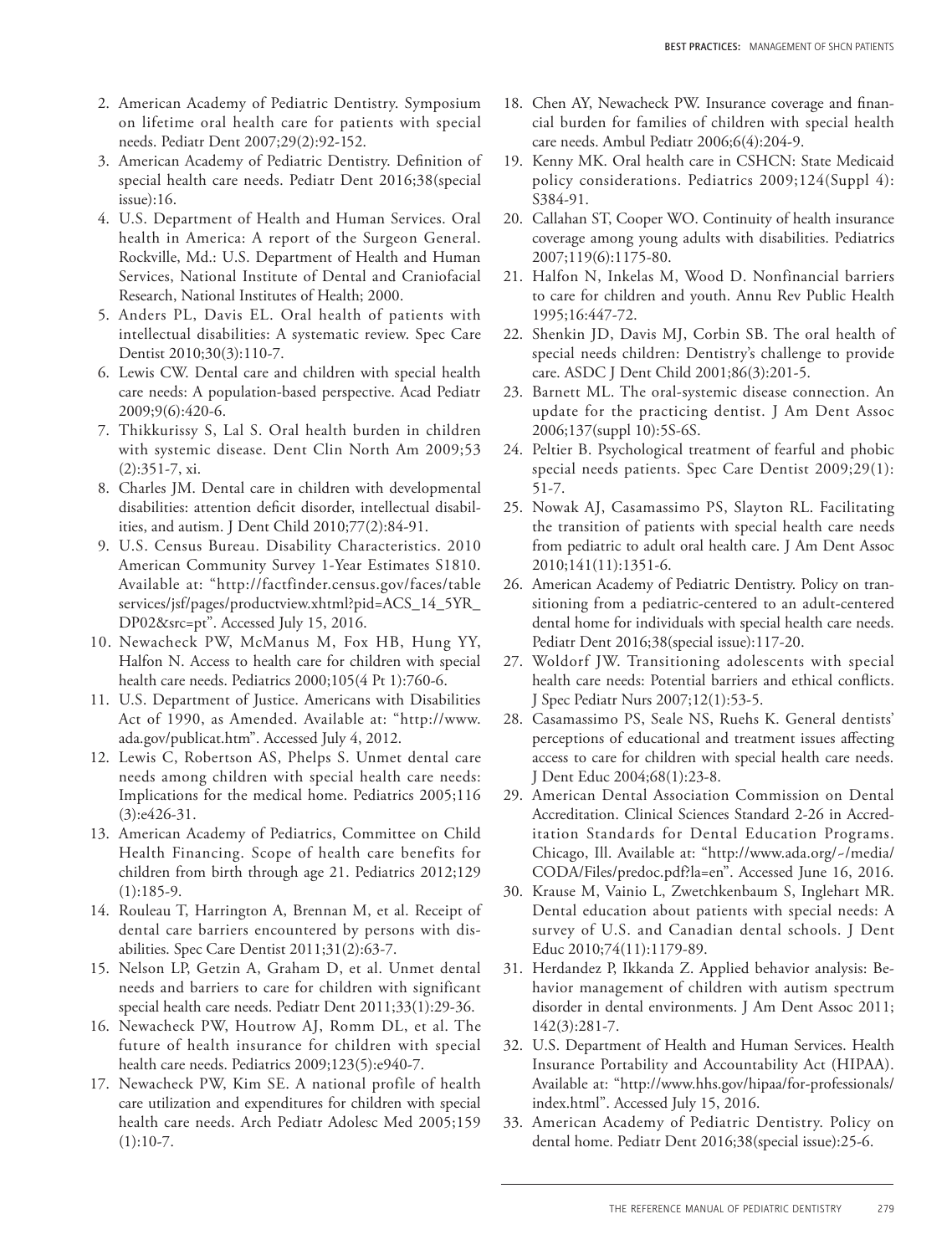- 2. American Academy of Pediatric Dentistry. Symposium on lifetime oral health care for patients with special needs. Pediatr Dent 2007;29(2):92-152.
- 3. American Academy of Pediatric Dentistry. Definition of special health care needs. Pediatr Dent 2016;38(special issue):16.
- 4. U.S. Department of Health and Human Services. Oral health in America: A report of the Surgeon General. Rockville, Md.: U.S. Department of Health and Human Services, National Institute of Dental and Craniofacial Research, National Institutes of Health; 2000.
- 5. Anders PL, Davis EL. Oral health of patients with intellectual disabilities: A systematic review. Spec Care Dentist 2010;30(3):110-7.
- 6. Lewis CW. Dental care and children with special health care needs: A population-based perspective. Acad Pediatr 2009;9(6):420-6.
- 7. Thikkurissy S, Lal S. Oral health burden in children with systemic disease. Dent Clin North Am 2009;53 (2):351-7, xi.
- 8. Charles JM. Dental care in children with developmental disabilities: attention deficit disorder, intellectual disabilities, and autism. J Dent Child 2010;77(2):84-91.
- 9. U.S. Census Bureau. Disability Characteristics. 2010 American Community Survey 1-Year Estimates S1810. Available at: "http://factfinder.census.gov/faces/table services/jsf/pages/productview.xhtml?pid=ACS\_14\_5YR\_ DP02&src=pt". Accessed July 15, 2016.
- 10. Newacheck PW, McManus M, Fox HB, Hung YY, Halfon N. Access to health care for children with special health care needs. Pediatrics 2000;105(4 Pt 1):760-6.
- 11. U.S. Department of Justice. Americans with Disabilities Act of 1990, as Amended. Available at: "http://www. ada.gov/publicat.htm". Accessed July 4, 2012.
- 12. Lewis C, Robertson AS, Phelps S. Unmet dental care needs among children with special health care needs: Implications for the medical home. Pediatrics 2005;116 (3):e426-31.
- 13. American Academy of Pediatrics, Committee on Child Health Financing. Scope of health care benefits for children from birth through age 21. Pediatrics 2012;129  $(1):185-9.$
- 14. Rouleau T, Harrington A, Brennan M, et al. Receipt of dental care barriers encountered by persons with disabilities. Spec Care Dentist 2011;31(2):63-7.
- 15. Nelson LP, Getzin A, Graham D, et al. Unmet dental needs and barriers to care for children with significant special health care needs. Pediatr Dent 2011;33(1):29-36.
- 16. Newacheck PW, Houtrow AJ, Romm DL, et al. The future of health insurance for children with special health care needs. Pediatrics 2009;123(5):e940-7.
- 17. Newacheck PW, Kim SE. A national profile of health care utilization and expenditures for children with special health care needs. Arch Pediatr Adolesc Med 2005;159  $(1):10-7.$
- 18. Chen AY, Newacheck PW. Insurance coverage and financial burden for families of children with special health care needs. Ambul Pediatr 2006;6(4):204-9.
- 19. Kenny MK. Oral health care in CSHCN: State Medicaid policy considerations. Pediatrics 2009;124(Suppl 4): S384-91.
- 20. Callahan ST, Cooper WO. Continuity of health insurance coverage among young adults with disabilities. Pediatrics 2007;119(6):1175-80.
- 21. Halfon N, Inkelas M, Wood D. Nonfinancial barriers to care for children and youth. Annu Rev Public Health 1995;16:447-72.
- 22. Shenkin JD, Davis MJ, Corbin SB. The oral health of special needs children: Dentistry's challenge to provide care. ASDC J Dent Child 2001;86(3):201-5.
- 23. Barnett ML. The oral-systemic disease connection. An update for the practicing dentist. J Am Dent Assoc 2006;137(suppl 10):5S-6S.
- 24. Peltier B. Psychological treatment of fearful and phobic special needs patients. Spec Care Dentist 2009;29(1): 51-7.
- 25. Nowak AJ, Casamassimo PS, Slayton RL. Facilitating the transition of patients with special health care needs from pediatric to adult oral health care. J Am Dent Assoc 2010;141(11):1351-6.
- 26. American Academy of Pediatric Dentistry. Policy on transitioning from a pediatric-centered to an adult-centered dental home for individuals with special health care needs. Pediatr Dent 2016;38(special issue):117-20.
- 27. Woldorf JW. Transitioning adolescents with special health care needs: Potential barriers and ethical conflicts. J Spec Pediatr Nurs 2007;12(1):53-5.
- 28. Casamassimo PS, Seale NS, Ruehs K. General dentists' perceptions of educational and treatment issues affecting access to care for children with special health care needs. J Dent Educ 2004;68(1):23-8.
- 29. American Dental Association Commission on Dental Accreditation. Clinical Sciences Standard 2-26 in Accreditation Standards for Dental Education Programs. Chicago, Ill. Available at: "http://www.ada.org/~/media/ CODA/Files/predoc.pdf?la=en". Accessed June 16, 2016.
- 30. Krause M, Vainio L, Zwetchkenbaum S, Inglehart MR. Dental education about patients with special needs: A survey of U.S. and Canadian dental schools. J Dent Educ 2010;74(11):1179-89.
- 31. Herdandez P, Ikkanda Z. Applied behavior analysis: Behavior management of children with autism spectrum disorder in dental environments. J Am Dent Assoc 2011; 142(3):281-7.
- 32. U.S. Department of Health and Human Services. Health Insurance Portability and Accountability Act (HIPAA). Available at: "http://www.hhs.gov/hipaa/for-professionals/ index.html". Accessed July 15, 2016.
- 33. American Academy of Pediatric Dentistry. Policy on dental home. Pediatr Dent 2016;38(special issue):25-6.